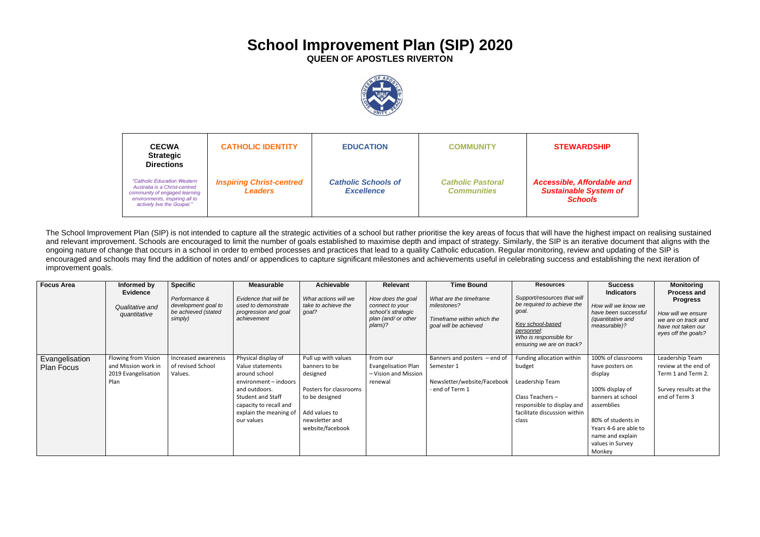## **School Improvement Plan (SIP) 2020**

**QUEEN OF APOSTLES RIVERTON**



The School Improvement Plan (SIP) is not intended to capture all the strategic activities of a school but rather prioritise the key areas of focus that will have the highest impact on realising sustained and relevant improvement. Schools are encouraged to limit the number of goals established to maximise depth and impact of strategy. Similarly, the SIP is an iterative document that aligns with the ongoing nature of change that occurs in a school in order to embed processes and practices that lead to a quality Catholic education. Regular monitoring, review and updating of the SIP is encouraged and schools may find the addition of notes and/ or appendices to capture significant milestones and achievements useful in celebrating success and establishing the next iteration of improvement goals.

**Affordable and** *Sustainable System of Schools*

| <b>Focus Area</b>                   | Informed by<br><b>Evidence</b><br>Qualitative and<br>quantitative         | <b>Specific</b><br>Performance &<br>development goal to<br>be achieved (stated<br>simply) | <b>Measurable</b><br>Evidence that will be<br>used to demonstrate<br>progression and goal<br>achievement                                                                                         | <b>Achievable</b><br>What actions will we<br>take to achieve the<br>goal?                                                                           | <b>Relevant</b><br>How does the goal<br>connect to your<br>school's strategic<br>plan (and/ or other<br>plans)? | <b>Time Bound</b><br>What are the timeframe<br>milestones?<br>Timeframe within which the<br>goal will be achieved | <b>Resources</b><br>Support/resources that will<br>be required to achieve the<br>goal.<br>Key school-based<br>personnel:<br>Who is responsible for<br>ensuring we are on track? | <b>Success</b><br><b>Indicators</b><br>How will we know we<br>have been successful<br><i>(quantitative and</i> )<br>measurable)?                                                                        | <b>Monitoring</b><br><b>Process and</b><br><b>Progress</b><br>How will we ensure<br>we are on track and<br>have not taken our<br>eyes off the goals? |
|-------------------------------------|---------------------------------------------------------------------------|-------------------------------------------------------------------------------------------|--------------------------------------------------------------------------------------------------------------------------------------------------------------------------------------------------|-----------------------------------------------------------------------------------------------------------------------------------------------------|-----------------------------------------------------------------------------------------------------------------|-------------------------------------------------------------------------------------------------------------------|---------------------------------------------------------------------------------------------------------------------------------------------------------------------------------|---------------------------------------------------------------------------------------------------------------------------------------------------------------------------------------------------------|------------------------------------------------------------------------------------------------------------------------------------------------------|
| Evangelisation<br><b>Plan Focus</b> | Flowing from Vision<br>and Mission work in<br>2019 Evangelisation<br>Plan | Increased awareness<br>of revised School<br>Values.                                       | Physical display of<br>Value statements<br>around school<br>environment - indoors<br>and outdoors.<br><b>Student and Staff</b><br>capacity to recall and<br>explain the meaning of<br>our values | Pull up with values<br>banners to be<br>designed<br>Posters for classrooms<br>to be designed<br>Add values to<br>newsletter and<br>website/facebook | From our<br><b>Evangelisation Plan</b><br>- Vision and Mission<br>renewal                                       | Banners and posters - end of<br>Semester 1<br>Newsletter/website/Facebook<br>- end of Term 1                      | Funding allocation within<br>budget<br>Leadership Team<br>Class Teachers $-$<br>responsible to display and<br>facilitate discussion within<br>class                             | 100% of classrooms<br>have posters on<br>display<br>100% display of<br>banners at school<br>assemblies<br>80% of students in<br>Years 4-6 are able to<br>name and explain<br>values in Survey<br>Monkey | Leadership Team<br>review at the end of<br>Term 1 and Term 2.<br>Survey results at the<br>end of Term 3                                              |

## **ARDSHIP**

| <b>CECWA</b><br><b>Strategic</b><br><b>Directions</b>                                                                                                         | <b>CATHOLIC IDENTITY</b>                          | <b>EDUCATION</b>                                | <b>COMMUNITY</b>                               | <b>STEW</b>                            |  |
|---------------------------------------------------------------------------------------------------------------------------------------------------------------|---------------------------------------------------|-------------------------------------------------|------------------------------------------------|----------------------------------------|--|
| "Catholic Education Western<br>Australia is a Christ-centred<br>community of engaged learning<br>environments, inspiring all to<br>actively live the Gospel." | <b>Inspiring Christ-centred</b><br><b>Leaders</b> | <b>Catholic Schools of</b><br><b>Excellence</b> | <b>Catholic Pastoral</b><br><b>Communities</b> | Accessible,<br><b>Sustainab</b><br>Sci |  |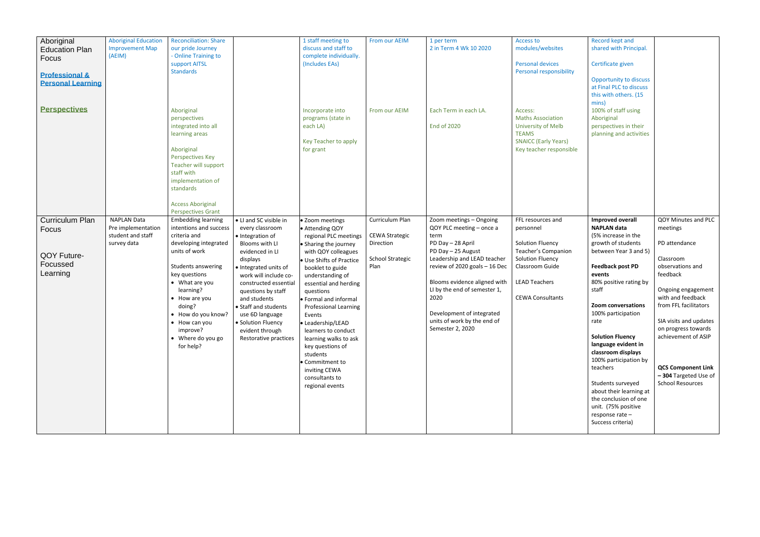| Aboriginal<br><b>Education Plan</b><br>Focus<br><b>Professional &amp;</b><br><b>Personal Learning</b><br><b>Perspectives</b> | <b>Aboriginal Education</b><br><b>Improvement Map</b><br>(AEIM)              | <b>Reconciliation: Share</b><br>our pride Journey<br>- Online Training to<br>support AITSL<br><b>Standards</b><br>Aboriginal<br>perspectives<br>integrated into all<br>learning areas<br>Aboriginal<br><b>Perspectives Key</b><br>Teacher will support<br>staff with<br>implementation of<br>standards<br><b>Access Aboriginal</b> |                                                                                                                                                                                                                                                                                                                                              | 1 staff meeting to<br>discuss and staff to<br>complete individually.<br>(Includes EAs)<br>Incorporate into<br>programs (state in<br>each LA)<br>Key Teacher to apply<br>for grant                                                                                                                                                                                                                                                                                    | From our AEIM<br>From our AEIM                                                           | 1 per term<br>2 in Term 4 Wk 10 2020<br>Each Term in each LA.<br><b>End of 2020</b>                                                                                                                                                                                                                                            | <b>Access to</b><br>modules/websites<br><b>Personal devices</b><br>Personal responsibility<br>Access:<br><b>Maths Association</b><br>University of Melb<br><b>TEAMS</b><br><b>SNAICC (Early Years)</b><br>Key teacher responsible | Record kept and<br>shared with Principal.<br>Certificate given<br><b>Opportunity to discuss</b><br>at Final PLC to discuss<br>this with others. (15<br>mins)<br>100% of staff using<br>Aboriginal<br>perspectives in their<br>planning and activities                                                                                                                                                                                                                                                |                                                                                                                                                                                                                                                                                                                           |
|------------------------------------------------------------------------------------------------------------------------------|------------------------------------------------------------------------------|------------------------------------------------------------------------------------------------------------------------------------------------------------------------------------------------------------------------------------------------------------------------------------------------------------------------------------|----------------------------------------------------------------------------------------------------------------------------------------------------------------------------------------------------------------------------------------------------------------------------------------------------------------------------------------------|----------------------------------------------------------------------------------------------------------------------------------------------------------------------------------------------------------------------------------------------------------------------------------------------------------------------------------------------------------------------------------------------------------------------------------------------------------------------|------------------------------------------------------------------------------------------|--------------------------------------------------------------------------------------------------------------------------------------------------------------------------------------------------------------------------------------------------------------------------------------------------------------------------------|-----------------------------------------------------------------------------------------------------------------------------------------------------------------------------------------------------------------------------------|------------------------------------------------------------------------------------------------------------------------------------------------------------------------------------------------------------------------------------------------------------------------------------------------------------------------------------------------------------------------------------------------------------------------------------------------------------------------------------------------------|---------------------------------------------------------------------------------------------------------------------------------------------------------------------------------------------------------------------------------------------------------------------------------------------------------------------------|
| <b>Curriculum Plan</b><br>Focus<br>QOY Future-<br>Focussed<br>Learning                                                       | <b>NAPLAN Data</b><br>Pre implementation<br>student and staff<br>survey data | <b>Perspectives Grant</b><br><b>Embedding learning</b><br>intentions and success<br>criteria and<br>developing integrated<br>units of work<br>Students answering<br>key questions<br>• What are you<br>learning?<br>• How are you<br>doing?<br>• How do you know?<br>• How can you<br>improve?<br>• Where do you go<br>for help?   | • LI and SC visible in<br>every classroom<br>· Integration of<br>Blooms with LI<br>evidenced in LI<br>displays<br>· Integrated units of<br>work will include co-<br>constructed essential<br>questions by staff<br>and students<br>• Staff and students<br>use 6D language<br>· Solution Fluency<br>evident through<br>Restorative practices | • Zoom meetings<br>• Attending QOY<br>regional PLC meetings<br>• Sharing the journey<br>with QOY colleagues<br>Use Shifts of Practice<br>booklet to guide<br>understanding of<br>essential and herding<br>questions<br>• Formal and informal<br><b>Professional Learning</b><br>Events<br>• Leadership/LEAD<br>learners to conduct<br>learning walks to ask<br>key questions of<br>students<br>• Commitment to<br>inviting CEWA<br>consultants to<br>regional events | Curriculum Plan<br><b>CEWA Strategic</b><br>Direction<br><b>School Strategic</b><br>Plan | Zoom meetings - Ongoing<br>QOY PLC meeting - once a<br>term<br>PD Day - 28 April<br>PD Day - 25 August<br>Leadership and LEAD teacher<br>review of 2020 goals - 16 Dec<br>Blooms evidence aligned with<br>LI by the end of semester 1,<br>2020<br>Development of integrated<br>units of work by the end of<br>Semester 2, 2020 | FFL resources and<br>personnel<br>Solution Fluency<br>Teacher's Companion<br>Solution Fluency<br>Classroom Guide<br><b>LEAD Teachers</b><br><b>CEWA Consultants</b>                                                               | <b>Improved overall</b><br><b>NAPLAN data</b><br>(5% increase in the<br>growth of students<br>between Year 3 and 5)<br><b>Feedback post PD</b><br>events<br>80% positive rating by<br>staff<br>Zoom conversations<br>100% participation<br>rate<br><b>Solution Fluency</b><br>language evident in<br>classroom displays<br>100% participation by<br>teachers<br>Students surveyed<br>about their learning at<br>the conclusion of one<br>unit. (75% positive<br>response rate -<br>Success criteria) | QOY Minutes and PLC<br>meetings<br>PD attendance<br>Classroom<br>observations and<br>feedback<br>Ongoing engagement<br>with and feedback<br>from FFL facilitators<br>SIA visits and updates<br>on progress towards<br>achievement of ASIP<br><b>QCS Component Link</b><br>-304 Targeted Use of<br><b>School Resources</b> |